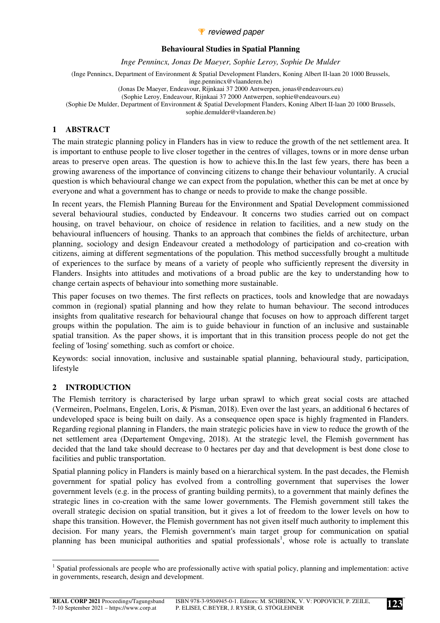

#### **Behavioural Studies in Spatial Planning**

*Inge Pennincx, Jonas De Maeyer, Sophie Leroy, Sophie De Mulder* 

(Inge Pennincx, Department of Environment & Spatial Development Flanders, Koning Albert II-laan 20 1000 Brussels, inge.pennincx@vlaanderen.be) (Jonas De Maeyer, Endeavour, Rijnkaai 37 2000 Antwerpen, jonas@endeavours.eu) (Sophie Leroy, Endeavour, Rijnkaai 37 2000 Antwerpen, sophie@endeavours.eu) (Sophie De Mulder, Department of Environment & Spatial Development Flanders, Koning Albert II-laan 20 1000 Brussels,

sophie.demulder@vlaanderen.be)

## **1 ABSTRACT**

The main strategic planning policy in Flanders has in view to reduce the growth of the net settlement area. It is important to enthuse people to live closer together in the centres of villages, towns or in more dense urban areas to preserve open areas. The question is how to achieve this.In the last few years, there has been a growing awareness of the importance of convincing citizens to change their behaviour voluntarily. A crucial question is which behavioural change we can expect from the population, whether this can be met at once by everyone and what a government has to change or needs to provide to make the change possible.

In recent years, the Flemish Planning Bureau for the Environment and Spatial Development commissioned several behavioural studies, conducted by Endeavour. It concerns two studies carried out on compact housing, on travel behaviour, on choice of residence in relation to facilities, and a new study on the behavioural influencers of housing. Thanks to an approach that combines the fields of architecture, urban planning, sociology and design Endeavour created a methodology of participation and co-creation with citizens, aiming at different segmentations of the population. This method successfully brought a multitude of experiences to the surface by means of a variety of people who sufficiently represent the diversity in Flanders. Insights into attitudes and motivations of a broad public are the key to understanding how to change certain aspects of behaviour into something more sustainable.

This paper focuses on two themes. The first reflects on practices, tools and knowledge that are nowadays common in (regional) spatial planning and how they relate to human behaviour. The second introduces insights from qualitative research for behavioural change that focuses on how to approach different target groups within the population. The aim is to guide behaviour in function of an inclusive and sustainable spatial transition. As the paper shows, it is important that in this transition process people do not get the feeling of 'losing' something. such as comfort or choice.

Keywords: social innovation, inclusive and sustainable spatial planning, behavioural study, participation, lifestyle

## **2 INTRODUCTION**

 $\overline{a}$ 

The Flemish territory is characterised by large urban sprawl to which great social costs are attached (Vermeiren, Poelmans, Engelen, Loris, & Pisman, 2018). Even over the last years, an additional 6 hectares of undeveloped space is being built on daily. As a consequence open space is highly fragmented in Flanders. Regarding regional planning in Flanders, the main strategic policies have in view to reduce the growth of the net settlement area (Departement Omgeving, 2018). At the strategic level, the Flemish government has decided that the land take should decrease to 0 hectares per day and that development is best done close to facilities and public transportation.

Spatial planning policy in Flanders is mainly based on a hierarchical system. In the past decades, the Flemish government for spatial policy has evolved from a controlling government that supervises the lower government levels (e.g. in the process of granting building permits), to a government that mainly defines the strategic lines in co-creation with the same lower governments. The Flemish government still takes the overall strategic decision on spatial transition, but it gives a lot of freedom to the lower levels on how to shape this transition. However, the Flemish government has not given itself much authority to implement this decision. For many years, the Flemish government's main target group for communication on spatial planning has been municipal authorities and spatial professionals<sup>1</sup>, whose role is actually to translate

 $<sup>1</sup>$  Spatial professionals are people who are professionally active with spatial policy, planning and implementation: active</sup> in governments, research, design and development.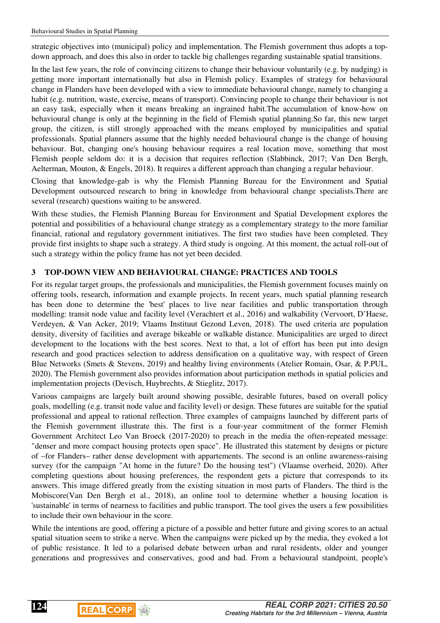strategic objectives into (municipal) policy and implementation. The Flemish government thus adopts a topdown approach, and does this also in order to tackle big challenges regarding sustainable spatial transitions.

In the last few years, the role of convincing citizens to change their behaviour voluntarily (e.g. by nudging) is getting more important internationally but also in Flemish policy. Examples of strategy for behavioural change in Flanders have been developed with a view to immediate behavioural change, namely to changing a habit (e.g. nutrition, waste, exercise, means of transport). Convincing people to change their behaviour is not an easy task, especially when it means breaking an ingrained habit.The accumulation of know-how on behavioural change is only at the beginning in the field of Flemish spatial planning.So far, this new target group, the citizen, is still strongly approached with the means employed by municipalities and spatial professionals. Spatial planners assume that the highly needed behavioural change is the change of housing behaviour. But, changing one's housing behaviour requires a real location move, something that most Flemish people seldom do: it is a decision that requires reflection (Slabbinck, 2017; Van Den Bergh, Aelterman, Mouton, & Engels, 2018). It requires a different approach than changing a regular behaviour.

Closing that knowledge-gab is why the Flemish Planning Bureau for the Environment and Spatial Development outsourced research to bring in knowledge from behavioural change specialists.There are several (research) questions waiting to be answered.

With these studies, the Flemish Planning Bureau for Environment and Spatial Development explores the potential and possibilities of a behavioural change strategy as a complementary strategy to the more familiar financial, rational and regulatory government initiatives. The first two studies have been completed. They provide first insights to shape such a strategy. A third study is ongoing. At this moment, the actual roll-out of such a strategy within the policy frame has not yet been decided.

## **3 TOP-DOWN VIEW AND BEHAVIOURAL CHANGE: PRACTICES AND TOOLS**

For its regular target groups, the professionals and municipalities, the Flemish government focuses mainly on offering tools, research, information and example projects. In recent years, much spatial planning research has been done to determine the 'best' places to live near facilities and public transportation through modelling: transit node value and facility level (Verachtert et al., 2016) and walkability (Vervoort, D'Haese, Verdeyen, & Van Acker, 2019; Vlaams Instituut Gezond Leven, 2018). The used criteria are population density, diversity of facilities and average bikeable or walkable distance. Municipalities are urged to direct development to the locations with the best scores. Next to that, a lot of effort has been put into design research and good practices selection to address densification on a qualitative way, with respect of Green Blue Networks (Smets & Stevens, 2019) and healthy living environments (Atelier Romain, Osar, & P.PUL, 2020). The Flemish government also provides information about participation methods in spatial policies and implementation projects (Devisch, Huybrechts, & Stieglitz, 2017).

Various campaigns are largely built around showing possible, desirable futures, based on overall policy goals, modelling (e.g. transit node value and facility level) or design. These futures are suitable for the spatial professional and appeal to rational reflection. Three examples of campaigns launched by different parts of the Flemish government illustrate this. The first is a four-year commitment of the former Flemish Government Architect Leo Van Broeck (2017-2020) to preach in the media the often-repeated message: "denser and more compact housing protects open space". He illustrated this statement by designs or picture of –for Flanders– rather dense development with appartements. The second is an online awareness-raising survey (for the campaign "At home in the future? Do the housing test") (Vlaamse overheid, 2020). After completing questions about housing preferences, the respondent gets a picture that corresponds to its answers. This image differed greatly from the existing situation in most parts of Flanders. The third is the Mobiscore(Van Den Bergh et al., 2018), an online tool to determine whether a housing location is 'sustainable' in terms of nearness to facilities and public transport. The tool gives the users a few possibilities to include their own behaviour in the score.

While the intentions are good, offering a picture of a possible and better future and giving scores to an actual spatial situation seem to strike a nerve. When the campaigns were picked up by the media, they evoked a lot of public resistance. It led to a polarised debate between urban and rural residents, older and younger generations and progressives and conservatives, good and bad. From a behavioural standpoint, people's

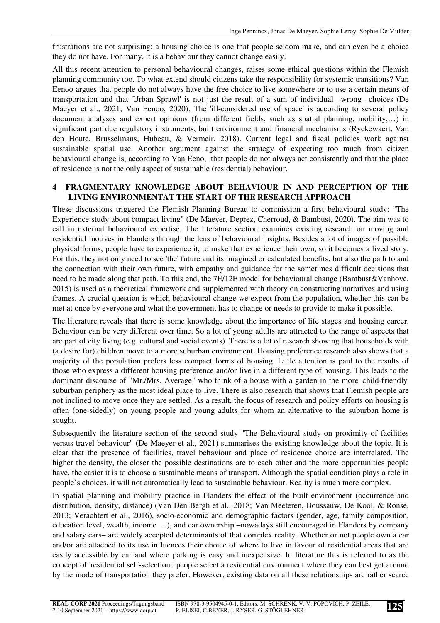frustrations are not surprising: a housing choice is one that people seldom make, and can even be a choice they do not have. For many, it is a behaviour they cannot change easily.

All this recent attention to personal behavioural changes, raises some ethical questions within the Flemish planning community too. To what extend should citizens take the responsibility for systemic transitions? Van Eenoo argues that people do not always have the free choice to live somewhere or to use a certain means of transportation and that 'Urban Sprawl' is not just the result of a sum of individual –wrong– choices (De Maeyer et al., 2021; Van Eenoo, 2020). The 'ill-considered use of space' is according to several policy document analyses and expert opinions (from different fields, such as spatial planning, mobility,…) in significant part due regulatory instruments, built environment and financial mechanisms (Ryckewaert, Van den Houte, Brusselmans, Hubeau, & Vermeir, 2018). Current legal and fiscal policies work against sustainable spatial use. Another argument against the strategy of expecting too much from citizen behavioural change is, according to Van Eeno, that people do not always act consistently and that the place of residence is not the only aspect of sustainable (residential) behaviour.

### **4 FRAGMENTARY KNOWLEDGE ABOUT BEHAVIOUR IN AND PERCEPTION OF THE LIVING ENVIRONMENTAT THE START OF THE RESEARCH APPROACH**

These discussions triggered the Flemish Planning Bureau to commission a first behavioural study: "The Experience study about compact living" (De Maeyer, Deprez, Cherroud, & Bambust, 2020). The aim was to call in external behavioural expertise. The literature section examines existing research on moving and residential motives in Flanders through the lens of behavioural insights. Besides a lot of images of possible physical forms, people have to experience it, to make that experience their own, so it becomes a lived story. For this, they not only need to see 'the' future and its imagined or calculated benefits, but also the path to and the connection with their own future, with empathy and guidance for the sometimes difficult decisions that need to be made along that path. To this end, the 7E/12E model for behavioural change (Bambust&Vanhove, 2015) is used as a theoretical framework and supplemented with theory on constructing narratives and using frames. A crucial question is which behavioural change we expect from the population, whether this can be met at once by everyone and what the government has to change or needs to provide to make it possible.

The literature reveals that there is some knowledge about the importance of life stages and housing career. Behaviour can be very different over time. So a lot of young adults are attracted to the range of aspects that are part of city living (e.g. cultural and social events). There is a lot of research showing that households with (a desire for) children move to a more suburban environment. Housing preference research also shows that a majority of the population prefers less compact forms of housing. Little attention is paid to the results of those who express a different housing preference and/or live in a different type of housing. This leads to the dominant discourse of "Mr./Mrs. Average" who think of a house with a garden in the more 'child-friendly' suburban periphery as the most ideal place to live. There is also research that shows that Flemish people are not inclined to move once they are settled. As a result, the focus of research and policy efforts on housing is often (one-sidedly) on young people and young adults for whom an alternative to the suburban home is sought.

Subsequently the literature section of the second study "The Behavioural study on proximity of facilities versus travel behaviour" (De Maeyer et al., 2021) summarises the existing knowledge about the topic. It is clear that the presence of facilities, travel behaviour and place of residence choice are interrelated. The higher the density, the closer the possible destinations are to each other and the more opportunities people have, the easier it is to choose a sustainable means of transport. Although the spatial condition plays a role in people's choices, it will not automatically lead to sustainable behaviour. Reality is much more complex.

In spatial planning and mobility practice in Flanders the effect of the built environment (occurrence and distribution, density, distance) (Van Den Bergh et al., 2018; Van Meeteren, Boussauw, De Kool, & Ronse, 2013; Verachtert et al., 2016), socio-economic and demographic factors (gender, age, family composition, education level, wealth, income …), and car ownership –nowadays still encouraged in Flanders by company and salary cars– are widely accepted determinants of that complex reality. Whether or not people own a car and/or are attached to its use influences their choice of where to live in favour of residential areas that are easily accessible by car and where parking is easy and inexpensive. In literature this is referred to as the concept of 'residential self-selection': people select a residential environment where they can best get around by the mode of transportation they prefer. However, existing data on all these relationships are rather scarce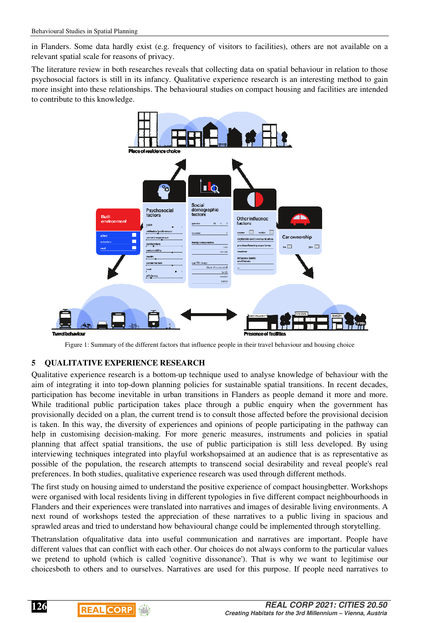in Flanders. Some data hardly exist (e.g. frequency of visitors to facilities), others are not available on a relevant spatial scale for reasons of privacy.

The literature review in both researches reveals that collecting data on spatial behaviour in relation to those psychosocial factors is still in its infancy. Qualitative experience research is an interesting method to gain more insight into these relationships. The behavioural studies on compact housing and facilities are intended to contribute to this knowledge.



Figure 1: Summary of the different factors that influence people in their travel behaviour and housing choice

### **5 QUALITATIVE EXPERIENCE RESEARCH**

Qualitative experience research is a bottom-up technique used to analyse knowledge of behaviour with the aim of integrating it into top-down planning policies for sustainable spatial transitions. In recent decades, participation has become inevitable in urban transitions in Flanders as people demand it more and more. While traditional public participation takes place through a public enquiry when the government has provisionally decided on a plan, the current trend is to consult those affected before the provisional decision is taken. In this way, the diversity of experiences and opinions of people participating in the pathway can help in customising decision-making. For more generic measures, instruments and policies in spatial planning that affect spatial transitions, the use of public participation is still less developed. By using interviewing techniques integrated into playful workshopsaimed at an audience that is as representative as possible of the population, the research attempts to transcend social desirability and reveal people's real preferences. In both studies, qualitative experience research was used through different methods.

The first study on housing aimed to understand the positive experience of compact housingbetter. Workshops were organised with local residents living in different typologies in five different compact neighbourhoods in Flanders and their experiences were translated into narratives and images of desirable living environments. A next round of workshops tested the appreciation of these narratives to a public living in spacious and sprawled areas and tried to understand how behavioural change could be implemented through storytelling.

Thetranslation ofqualitative data into useful communication and narratives are important. People have different values that can conflict with each other. Our choices do not always conform to the particular values we pretend to uphold (which is called 'cognitive dissonance'). That is why we want to legitimise our choicesboth to others and to ourselves. Narratives are used for this purpose. If people need narratives to

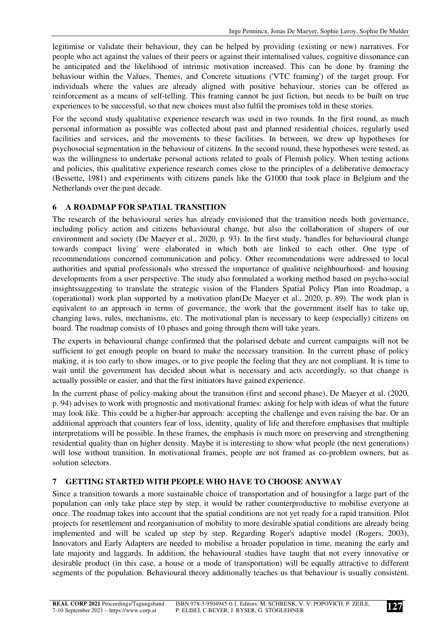legitimise or validate their behaviour, they can be helped by providing (existing or new) narratives. For people who act against the values of their peers or against their internalised values, cognitive dissonance can be anticipated and the likelihood of intrinsic motivation increased. This can be done by framing the behaviour within the Values, Themes, and Concrete situations ('VTC framing') of the target group. For individuals where the values are already aligned with positive behaviour, stories can be offered as reinforcement as a means of self-telling. This framing cannot be just fiction, but needs to be built on true experiences to be successful, so that new choices must also fulfil the promises told in these stories.

For the second study qualitative experience research was used in two rounds. In the first round, as much personal information as possible was collected about past and planned residential choices, regularly used facilities and services, and the movements to these facilities. In between, we drew up hypotheses for psychosocial segmentation in the behaviour of citizens. In the second round, these hypotheses were tested, as was the willingness to undertake personal actions related to goals of Flemish policy. When testing actions and policies, this qualitative experience research comes close to the principles of a deliberative democracy (Bessette, 1981) and experiments with citizens panels like the G1000 that took place in Belgium and the Netherlands over the past decade.

# **6 A ROADMAP FOR SPATIAL TRANSITION**

The research of the behavioural series has already envisioned that the transition needs both governance, including policy action and citizens behavioural change, but also the collaboration of shapers of our environment and society (De Maeyer et al., 2020, p. 93). In the first study, 'handles for behavioural change towards compact living' were elaborated in which both are linked to each other. One type of recommendations concerned communication and policy. Other recommendations were addressed to local authorities and spatial professionals who stressed the importance of qualitive neighbourhood- and housing developments from a user perspective. The study also formulated a working method based on psycho-social insightssuggesting to translate the strategic vision of the Flanders Spatial Policy Plan into Roadmap, a (operational) work plan supported by a motivation plan(De Maeyer et al., 2020, p. 89). The work plan is equivalent to an approach in terms of governance, the work that the government itself has to take up, changing laws, rules, mechanisms, etc. The motivational plan is necessary to keep (especially) citizens on board. The roadmap consists of 10 phases and going through them will take years.

The experts in behavioural change confirmed that the polarised debate and current campaigns will not be sufficient to get enough people on board to make the necessary transition. In the current phase of policy making, it is too early to show images, or to give people the feeling that they are not compliant. It is time to wait until the government has decided about what is necessary and acts accordingly, so that change is actually possible or easier, and that the first initiators have gained experience.

In the current phase of policy-making about the transition (first and second phase), De Maeyer et al. (2020, p. 94) advises to work with prognostic and motivational frames: asking for help with ideas of what the future may look like. This could be a higher-bar approach: accepting the challenge and even raising the bar. Or an additional approach that counters fear of loss, identity, quality of life and therefore emphasises that multiple interpretations will be possible. In these frames, the emphasis is much more on preserving and strengthening residential quality than on higher density. Maybe it is interesting to show what people (the next generations) will lose without transition. In motivational frames, people are not framed as co-problem owners, but as solution selectors.

## **7 GETTING STARTED WITH PEOPLE WHO HAVE TO CHOOSE ANYWAY**

Since a transition towards a more sustainable choice of transportation and of housingfor a large part of the population can only take place step by step, it would be rather counterproductive to mobilise everyone at once. The roadmap takes into account that the spatial conditions are not yet ready for a rapid transition. Pilot projects for resettlement and reorganisation of mobility to more desirable spatial conditions are already being implemented and will be scaled up step by step. Regarding Roger's adaptive model (Rogers, 2003), Innovators and Early Adapters are needed to mobilise a broader population in time, meaning the early and late majority and laggards. In addition, the behavioural studies have taught that not every innovative or desirable product (in this case, a house or a mode of transportation) will be equally attractive to different segments of the population. Behavioural theory additionally teaches us that behaviour is usually consistent.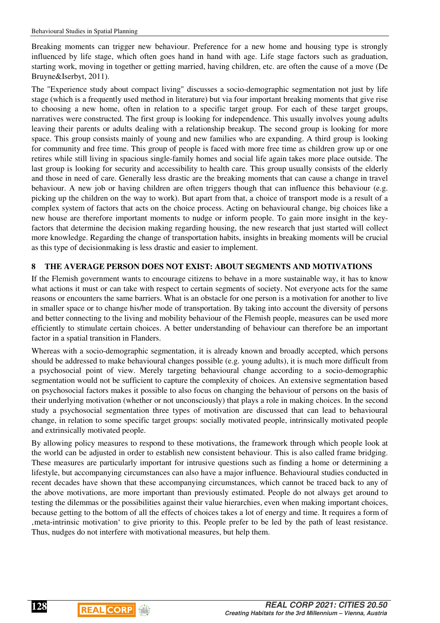Breaking moments can trigger new behaviour. Preference for a new home and housing type is strongly influenced by life stage, which often goes hand in hand with age. Life stage factors such as graduation, starting work, moving in together or getting married, having children, etc. are often the cause of a move (De Bruyne&Iserbyt, 2011).

The "Experience study about compact living" discusses a socio-demographic segmentation not just by life stage (which is a frequently used method in literature) but via four important breaking moments that give rise to choosing a new home, often in relation to a specific target group. For each of these target groups, narratives were constructed. The first group is looking for independence. This usually involves young adults leaving their parents or adults dealing with a relationship breakup. The second group is looking for more space. This group consists mainly of young and new families who are expanding. A third group is looking for community and free time. This group of people is faced with more free time as children grow up or one retires while still living in spacious single-family homes and social life again takes more place outside. The last group is looking for security and accessibility to health care. This group usually consists of the elderly and those in need of care. Generally less drastic are the breaking moments that can cause a change in travel behaviour. A new job or having children are often triggers though that can influence this behaviour (e.g. picking up the children on the way to work). But apart from that, a choice of transport mode is a result of a complex system of factors that acts on the choice process. Acting on behavioural change, big choices like a new house are therefore important moments to nudge or inform people. To gain more insight in the keyfactors that determine the decision making regarding housing, the new research that just started will collect more knowledge. Regarding the change of transportation habits, insights in breaking moments will be crucial as this type of decisionmaking is less drastic and easier to implement.

### **8 THE AVERAGE PERSON DOES NOT EXIST: ABOUT SEGMENTS AND MOTIVATIONS**

If the Flemish government wants to encourage citizens to behave in a more sustainable way, it has to know what actions it must or can take with respect to certain segments of society. Not everyone acts for the same reasons or encounters the same barriers. What is an obstacle for one person is a motivation for another to live in smaller space or to change his/her mode of transportation. By taking into account the diversity of persons and better connecting to the living and mobility behaviour of the Flemish people, measures can be used more efficiently to stimulate certain choices. A better understanding of behaviour can therefore be an important factor in a spatial transition in Flanders.

Whereas with a socio-demographic segmentation, it is already known and broadly accepted, which persons should be addressed to make behavioural changes possible (e.g. young adults), it is much more difficult from a psychosocial point of view. Merely targeting behavioural change according to a socio-demographic segmentation would not be sufficient to capture the complexity of choices. An extensive segmentation based on psychosocial factors makes it possible to also focus on changing the behaviour of persons on the basis of their underlying motivation (whether or not unconsciously) that plays a role in making choices. In the second study a psychosocial segmentation three types of motivation are discussed that can lead to behavioural change, in relation to some specific target groups: socially motivated people, intrinsically motivated people and extrinsically motivated people.

By allowing policy measures to respond to these motivations, the framework through which people look at the world can be adjusted in order to establish new consistent behaviour. This is also called frame bridging. These measures are particularly important for intrusive questions such as finding a home or determining a lifestyle, but accompanying circumstances can also have a major influence. Behavioural studies conducted in recent decades have shown that these accompanying circumstances, which cannot be traced back to any of the above motivations, are more important than previously estimated. People do not always get around to testing the dilemmas or the possibilities against their value hierarchies, even when making important choices, because getting to the bottom of all the effects of choices takes a lot of energy and time. It requires a form of 'meta-intrinsic motivation' to give priority to this. People prefer to be led by the path of least resistance. Thus, nudges do not interfere with motivational measures, but help them.

 $\begin{array}{c} \hline \end{array}$ 

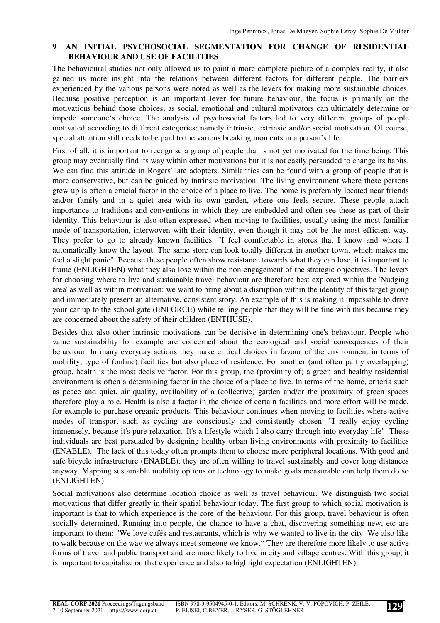## **9 AN INITIAL PSYCHOSOCIAL SEGMENTATION FOR CHANGE OF RESIDENTIAL BEHAVIOUR AND USE OF FACILITIES**

The behavioural studies not only allowed us to paint a more complete picture of a complex reality, it also gained us more insight into the relations between different factors for different people. The barriers experienced by the various persons were noted as well as the levers for making more sustainable choices. Because positive perception is an important lever for future behaviour, the focus is primarily on the motivations behind those choices, as social, emotional and cultural motivators can ultimately determine or impede someone's choice. The analysis of psychosocial factors led to very different groups of people motivated according to different categories; namely intrinsic, extrinsic and/or social motivation. Of course, special attention still needs to be paid to the various breaking moments in a person's life.

First of all, it is important to recognise a group of people that is not yet motivated for the time being. This group may eventually find its way within other motivations but it is not easily persuaded to change its habits. We can find this attitude in Rogers' late adopters. Similarities can be found with a group of people that is more conservative, but can be guided by intrinsic motivation. The living environment where these persons grew up is often a crucial factor in the choice of a place to live. The home is preferably located near friends and/or family and in a quiet area with its own garden, where one feels secure. These people attach importance to traditions and conventions in which they are embedded and often see these as part of their identity. This behaviour is also often expressed when moving to facilities, usually using the most familiar mode of transportation, interwoven with their identity, even though it may not be the most efficient way. They prefer to go to already known facilities: "I feel comfortable in stores that I know and where I automatically know the layout. The same store can look totally different in another town, which makes me feel a slight panic". Because these people often show resistance towards what they can lose, it is important to frame (ENLIGHTEN) what they also lose within the non-engagement of the strategic objectives. The levers for choosing where to live and sustainable travel behaviour are therefore best explored within the 'Nudging area' as well as within motivation: we want to bring about a disruption within the identity of this target group and immediately present an alternative, consistent story. An example of this is making it impossible to drive your car up to the school gate (ENFORCE) while telling people that they will be fine with this because they are concerned about the safety of their children (ENTHUSE).

Besides that also other intrinsic motivations can be decisive in determining one's behaviour. People who value sustainability for example are concerned about the ecological and social consequences of their behaviour. In many everyday actions they make critical choices in favour of the environment in terms of mobility, type of (online) facilities but also place of residence. For another (and often partly overlapping) group, health is the most decisive factor. For this group, the (proximity of) a green and healthy residential environment is often a determining factor in the choice of a place to live. In terms of the home, criteria such as peace and quiet, air quality, availability of a (collective) garden and/or the proximity of green spaces therefore play a role. Health is also a factor in the choice of certain facilities and more effort will be made, for example to purchase organic products. This behaviour continues when moving to facilities where active modes of transport such as cycling are consciously and consistently chosen: "I really enjoy cycling immensely, because it's pure relaxation. It's a lifestyle which I also carry through into everyday life". These individuals are best persuaded by designing healthy urban living environments with proximity to facilities (ENABLE). The lack of this today often prompts them to choose more peripheral locations. With good and safe bicycle infrastructure (ENABLE), they are often willing to travel sustainably and cover long distances anyway. Mapping sustainable mobility options or technology to make goals measurable can help them do so (ENLIGHTEN).

Social motivations also determine location choice as well as travel behaviour. We distinguish two social motivations that differ greatly in their spatial behaviour today. The first group to which social motivation is important is that to which experience is the core of the behaviour. For this group, travel behaviour is often socially determined. Running into people, the chance to have a chat, discovering something new, etc are important to them: "We love cafés and restaurants, which is why we wanted to live in the city. We also like to walk because on the way we always meet someone we know." They are therefore more likely to use active forms of travel and public transport and are more likely to live in city and village centres. With this group, it is important to capitalise on that experience and also to highlight expectation (ENLIGHTEN).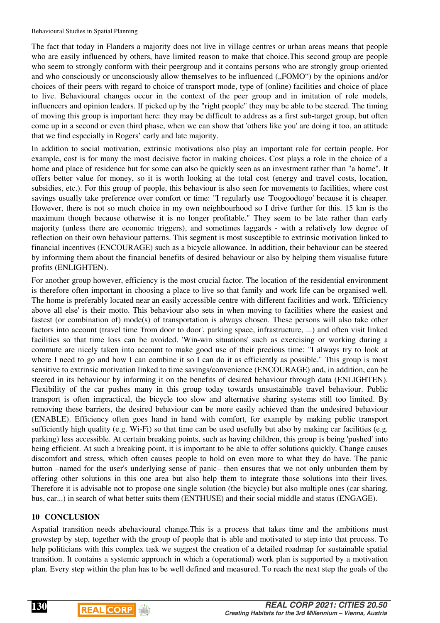The fact that today in Flanders a majority does not live in village centres or urban areas means that people who are easily influenced by others, have limited reason to make that choice.This second group are people who seem to strongly conform with their peergroup and it contains persons who are strongly group oriented and who consciously or unconsciously allow themselves to be influenced ("FOMO") by the opinions and/or choices of their peers with regard to choice of transport mode, type of (online) facilities and choice of place to live. Behavioural changes occur in the context of the peer group and in imitation of role models, influencers and opinion leaders. If picked up by the "right people" they may be able to be steered. The timing of moving this group is important here: they may be difficult to address as a first sub-target group, but often come up in a second or even third phase, when we can show that 'others like you' are doing it too, an attitude that we find especially in Rogers' early and late majority.

In addition to social motivation, extrinsic motivations also play an important role for certain people. For example, cost is for many the most decisive factor in making choices. Cost plays a role in the choice of a home and place of residence but for some can also be quickly seen as an investment rather than "a home". It offers better value for money, so it is worth looking at the total cost (energy and travel costs, location, subsidies, etc.). For this group of people, this behaviour is also seen for movements to facilities, where cost savings usually take preference over comfort or time: "I regularly use 'Toogoodtogo' because it is cheaper. However, there is not so much choice in my own neighbourhood so I drive further for this. 15 km is the maximum though because otherwise it is no longer profitable." They seem to be late rather than early majority (unless there are economic triggers), and sometimes laggards - with a relatively low degree of reflection on their own behaviour patterns. This segment is most susceptible to extrinsic motivation linked to financial incentives (ENCOURAGE) such as a bicycle allowance. In addition, their behaviour can be steered by informing them about the financial benefits of desired behaviour or also by helping them visualise future profits (ENLIGHTEN).

For another group however, efficiency is the most crucial factor. The location of the residential environment is therefore often important in choosing a place to live so that family and work life can be organised well. The home is preferably located near an easily accessible centre with different facilities and work. 'Efficiency above all else' is their motto. This behaviour also sets in when moving to facilities where the easiest and fastest (or combination of) mode(s) of transportation is always chosen. These persons will also take other factors into account (travel time 'from door to door', parking space, infrastructure, ...) and often visit linked facilities so that time loss can be avoided. 'Win-win situations' such as exercising or working during a commute are nicely taken into account to make good use of their precious time: "I always try to look at where I need to go and how I can combine it so I can do it as efficiently as possible." This group is most sensitive to extrinsic motivation linked to time savings/convenience (ENCOURAGE) and, in addition, can be steered in its behaviour by informing it on the benefits of desired behaviour through data (ENLIGHTEN). Flexibility of the car pushes many in this group today towards unsustainable travel behaviour. Public transport is often impractical, the bicycle too slow and alternative sharing systems still too limited. By removing these barriers, the desired behaviour can be more easily achieved than the undesired behaviour (ENABLE). Efficiency often goes hand in hand with comfort, for example by making public transport sufficiently high quality (e.g. Wi-Fi) so that time can be used usefully but also by making car facilities (e.g. parking) less accessible. At certain breaking points, such as having children, this group is being 'pushed' into being efficient. At such a breaking point, it is important to be able to offer solutions quickly. Change causes discomfort and stress, which often causes people to hold on even more to what they do have. The panic button –named for the user's underlying sense of panic– then ensures that we not only unburden them by offering other solutions in this one area but also help them to integrate those solutions into their lives. Therefore it is advisable not to propose one single solution (the bicycle) but also multiple ones (car sharing, bus, car...) in search of what better suits them (ENTHUSE) and their social middle and status (ENGAGE).

#### **10 CONCLUSION**

Aspatial transition needs abehavioural change.This is a process that takes time and the ambitions must growstep by step, together with the group of people that is able and motivated to step into that process. To help politicians with this complex task we suggest the creation of a detailed roadmap for sustainable spatial transition. It contains a systemic approach in which a (operational) work plan is supported by a motivation plan. Every step within the plan has to be well defined and measured. To reach the next step the goals of the

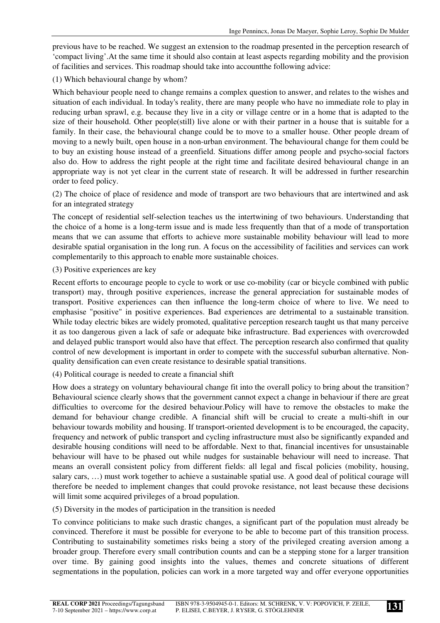previous have to be reached. We suggest an extension to the roadmap presented in the perception research of 'compact living'.At the same time it should also contain at least aspects regarding mobility and the provision of facilities and services. This roadmap should take into accountthe following advice:

#### (1) Which behavioural change by whom?

Which behaviour people need to change remains a complex question to answer, and relates to the wishes and situation of each individual. In today's reality, there are many people who have no immediate role to play in reducing urban sprawl, e.g. because they live in a city or village centre or in a home that is adapted to the size of their household. Other people(still) live alone or with their partner in a house that is suitable for a family. In their case, the behavioural change could be to move to a smaller house. Other people dream of moving to a newly built, open house in a non-urban environment. The behavioural change for them could be to buy an existing house instead of a greenfield. Situations differ among people and psycho-social factors also do. How to address the right people at the right time and facilitate desired behavioural change in an appropriate way is not yet clear in the current state of research. It will be addressed in further researchin order to feed policy.

(2) The choice of place of residence and mode of transport are two behaviours that are intertwined and ask for an integrated strategy

The concept of residential self-selection teaches us the intertwining of two behaviours. Understanding that the choice of a home is a long-term issue and is made less frequently than that of a mode of transportation means that we can assume that efforts to achieve more sustainable mobility behaviour will lead to more desirable spatial organisation in the long run. A focus on the accessibility of facilities and services can work complementarily to this approach to enable more sustainable choices.

#### (3) Positive experiences are key

Recent efforts to encourage people to cycle to work or use co-mobility (car or bicycle combined with public transport) may, through positive experiences, increase the general appreciation for sustainable modes of transport. Positive experiences can then influence the long-term choice of where to live. We need to emphasise "positive" in positive experiences. Bad experiences are detrimental to a sustainable transition. While today electric bikes are widely promoted, qualitative perception research taught us that many perceive it as too dangerous given a lack of safe or adequate bike infrastructure. Bad experiences with overcrowded and delayed public transport would also have that effect. The perception research also confirmed that quality control of new development is important in order to compete with the successful suburban alternative. Nonquality densification can even create resistance to desirable spatial transitions.

(4) Political courage is needed to create a financial shift

How does a strategy on voluntary behavioural change fit into the overall policy to bring about the transition? Behavioural science clearly shows that the government cannot expect a change in behaviour if there are great difficulties to overcome for the desired behaviour.Policy will have to remove the obstacles to make the demand for behaviour change credible. A financial shift will be crucial to create a multi-shift in our behaviour towards mobility and housing. If transport-oriented development is to be encouraged, the capacity, frequency and network of public transport and cycling infrastructure must also be significantly expanded and desirable housing conditions will need to be affordable. Next to that, financial incentives for unsustainable behaviour will have to be phased out while nudges for sustainable behaviour will need to increase. That means an overall consistent policy from different fields: all legal and fiscal policies (mobility, housing, salary cars, …) must work together to achieve a sustainable spatial use. A good deal of political courage will therefore be needed to implement changes that could provoke resistance, not least because these decisions will limit some acquired privileges of a broad population.

(5) Diversity in the modes of participation in the transition is needed

To convince politicians to make such drastic changes, a significant part of the population must already be convinced. Therefore it must be possible for everyone to be able to become part of this transition process. Contributing to sustainability sometimes risks being a story of the privileged creating aversion among a broader group. Therefore every small contribution counts and can be a stepping stone for a larger transition over time. By gaining good insights into the values, themes and concrete situations of different segmentations in the population, policies can work in a more targeted way and offer everyone opportunities